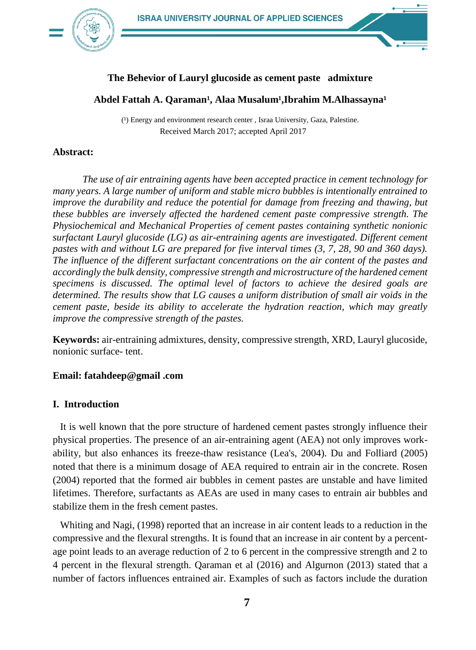

## **The Behevior of Lauryl glucoside as cement paste admixture**

#### Abdel Fattah A. Qaraman<sup>1</sup>, Alaa Musalum<sup>1</sup>,Ibrahim M.Alhassayna<sup>1</sup>

(1) Energy and environment research center, Israa University, Gaza, Palestine. Received March 2017; accepted April 2017

#### **Abstract:**

*The use of air entraining agents have been accepted practice in cement technology for many years. A large number of uniform and stable micro bubbles is intentionally entrained to improve the durability and reduce the potential for damage from freezing and thawing, but these bubbles are inversely affected the hardened cement paste compressive strength. The Physiochemical and Mechanical Properties of cement pastes containing synthetic nonionic surfactant Lauryl glucoside (LG) as air-entraining agents are investigated. Different cement pastes with and without LG are prepared for five interval times (3, 7, 28, 90 and 360 days). The influence of the different surfactant concentrations on the air content of the pastes and accordingly the bulk density, compressive strength and microstructure of the hardened cement specimens is discussed. The optimal level of factors to achieve the desired goals are determined. The results show that LG causes a uniform distribution of small air voids in the cement paste, beside its ability to accelerate the hydration reaction, which may greatly improve the compressive strength of the pastes.*

**Keywords:** air-entraining admixtures, density, compressive strength, XRD, Lauryl glucoside, nonionic surface- tent.

#### **Email: fatahdeep@gmail .com**

### **I. Introduction**

It is well known that the pore structure of hardened cement pastes strongly influence their physical properties. The presence of an air-entraining agent (AEA) not only improves workability, but also enhances its freeze-thaw resistance (Lea's, 2004). Du and Folliard (2005) noted that there is a minimum dosage of AEA required to entrain air in the concrete. Rosen (2004) reported that the formed air bubbles in cement pastes are unstable and have limited lifetimes. Therefore, surfactants as AEAs are used in many cases to entrain air bubbles and stabilize them in the fresh cement pastes.

Whiting and Nagi, (1998) reported that an increase in air content leads to a reduction in the compressive and the flexural strengths. It is found that an increase in air content by a percentage point leads to an average reduction of 2 to 6 percent in the compressive strength and 2 to 4 percent in the flexural strength. Qaraman et al (2016) and Algurnon (2013) stated that a number of factors influences entrained air. Examples of such as factors include the duration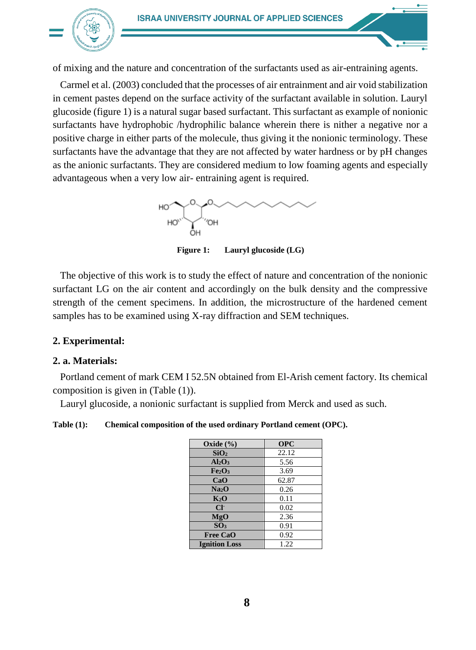

of mixing and the nature and concentration of the surfactants used as air-entraining agents.

Carmel et al. (2003) concluded that the processes of air entrainment and air void stabilization in cement pastes depend on the surface activity of the surfactant available in solution. Lauryl glucoside (figure 1) is a natural sugar based surfactant. This surfactant as example of nonionic surfactants have hydrophobic /hydrophilic balance wherein there is nither a negative nor a positive charge in either parts of the molecule, thus giving it the nonionic terminology. These surfactants have the advantage that they are not affected by water hardness or by pH changes as the anionic surfactants. They are considered medium to low foaming agents and especially advantageous when a very low air- entraining agent is required.



 **Figure 1: Lauryl glucoside (LG)**

The objective of this work is to study the effect of nature and concentration of the nonionic surfactant LG on the air content and accordingly on the bulk density and the compressive strength of the cement specimens. In addition, the microstructure of the hardened cement samples has to be examined using X-ray diffraction and SEM techniques.

# **2. Experimental:**

# **2. a. Materials:**

Portland cement of mark CEM I 52.5N obtained from El-Arish cement factory. Its chemical composition is given in (Table (1)).

Lauryl glucoside, a nonionic surfactant is supplied from Merck and used as such.

**Table (1): Chemical composition of the used ordinary Portland cement (OPC).**

| Oxide (%)                      | <b>OPC</b> |
|--------------------------------|------------|
| SiO <sub>2</sub>               | 22.12      |
| Al <sub>2</sub> O <sub>3</sub> | 5.56       |
| Fe <sub>2</sub> O <sub>3</sub> | 3.69       |
| CaO                            | 62.87      |
| Na <sub>2</sub> O              | 0.26       |
| $K_2O$                         | 0.11       |
| $Cl+$                          | 0.02       |
| MgO                            | 2.36       |
| SO <sub>3</sub>                | 0.91       |
| <b>Free CaO</b>                | 0.92       |
| <b>Ignition Loss</b>           | 1.22       |
|                                |            |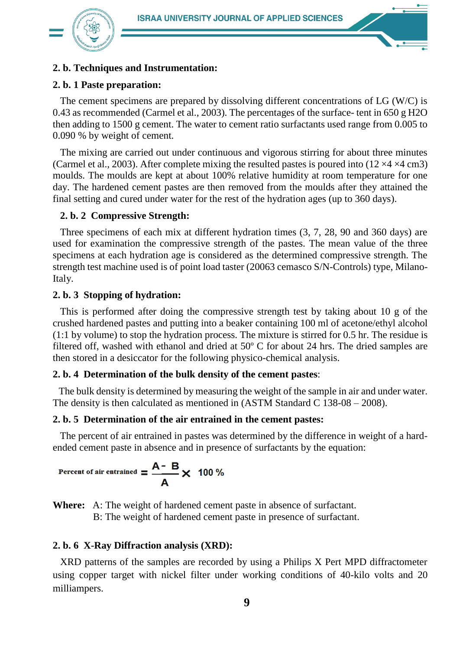

# **2. b. Techniques and Instrumentation:**

# **2. b. 1 Paste preparation:**

The cement specimens are prepared by dissolving different concentrations of LG (W/C) is 0.43 as recommended (Carmel et al., 2003). The percentages of the surface- tent in 650 g H2O then adding to 1500 g cement. The water to cement ratio surfactants used range from 0.005 to 0.090 % by weight of cement.

The mixing are carried out under continuous and vigorous stirring for about three minutes (Carmel et al., 2003). After complete mixing the resulted pastes is poured into  $(12 \times 4 \times 4 \text{ cm}^2)$ moulds. The moulds are kept at about 100% relative humidity at room temperature for one day. The hardened cement pastes are then removed from the moulds after they attained the final setting and cured under water for the rest of the hydration ages (up to 360 days).

## **2. b. 2 Compressive Strength:**

Three specimens of each mix at different hydration times (3, 7, 28, 90 and 360 days) are used for examination the compressive strength of the pastes. The mean value of the three specimens at each hydration age is considered as the determined compressive strength. The strength test machine used is of point load taster (20063 cemasco S/N-Controls) type, Milano-Italy.

## **2. b. 3 Stopping of hydration:**

This is performed after doing the compressive strength test by taking about 10 g of the crushed hardened pastes and putting into a beaker containing 100 ml of acetone/ethyl alcohol (1:1 by volume) to stop the hydration process. The mixture is stirred for 0.5 hr. The residue is filtered off, washed with ethanol and dried at 50º C for about 24 hrs. The dried samples are then stored in a desiccator for the following physico-chemical analysis.

# **2. b. 4 Determination of the bulk density of the cement pastes**:

The bulk density is determined by measuring the weight of the sample in air and under water. The density is then calculated as mentioned in (ASTM Standard C 138-08 – 2008).

### **2. b. 5 Determination of the air entrained in the cement pastes:**

The percent of air entrained in pastes was determined by the difference in weight of a hardended cement paste in absence and in presence of surfactants by the equation:

Percent of air entrained = 
$$
\frac{A - B}{A} \times 100\%
$$

**Where:** A: The weight of hardened cement paste in absence of surfactant.

B: The weight of hardened cement paste in presence of surfactant.

# **2. b. 6 X-Ray Diffraction analysis (XRD):**

XRD patterns of the samples are recorded by using a Philips X Pert MPD diffractometer using copper target with nickel filter under working conditions of 40-kilo volts and 20 milliampers.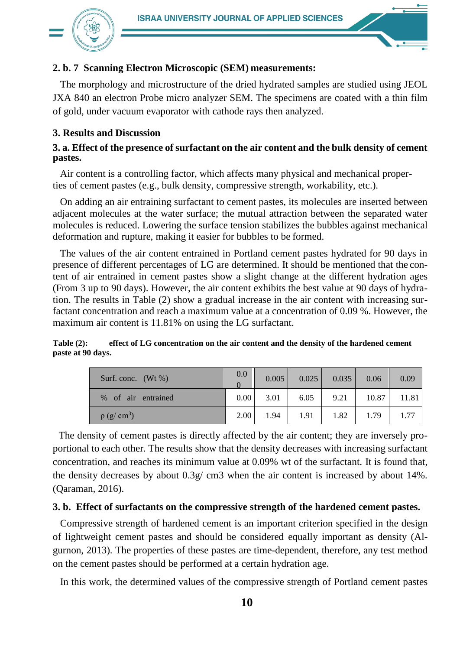

# **2. b. 7 Scanning Electron Microscopic (SEM) measurements:**

The morphology and microstructure of the dried hydrated samples are studied using JEOL JXA 840 an electron Probe micro analyzer SEM. The specimens are coated with a thin film of gold, under vacuum evaporator with cathode rays then analyzed.

# **3. Results and Discussion**

# **3. a. Effect of the presence of surfactant on the air content and the bulk density of cement pastes.**

Air content is a controlling factor, which affects many physical and mechanical properties of cement pastes (e.g., bulk density, compressive strength, workability, etc.).

On adding an air entraining surfactant to cement pastes, its molecules are inserted between adjacent molecules at the water surface; the mutual attraction between the separated water molecules is reduced. Lowering the surface tension stabilizes the bubbles against mechanical deformation and rupture, making it easier for bubbles to be formed.

The values of the air content entrained in Portland cement pastes hydrated for 90 days in presence of different percentages of LG are determined. It should be mentioned that the content of air entrained in cement pastes show a slight change at the different hydration ages (From 3 up to 90 days). However, the air content exhibits the best value at 90 days of hydration. The results in Table (2) show a gradual increase in the air content with increasing surfactant concentration and reach a maximum value at a concentration of 0.09 %. However, the maximum air content is 11.81% on using the LG surfactant.

#### **Table (2): effect of LG concentration on the air content and the density of the hardened cement paste at 90 days.**

| Surf. conc. $(Wt\%)$         | 0.0               | 0.005 | 0.025 | 0.035 | 0.06  | 0.09  |
|------------------------------|-------------------|-------|-------|-------|-------|-------|
| % of air entrained           | 0.00 <sub>l</sub> | 3.01  | 6.05  | 9.21  | 10.87 | 11.81 |
| $\rho$ (g/ cm <sup>3</sup> ) | 2.00              | 1.94  | 1.91  | 1.82  | 1.79  | 1.77  |

The density of cement pastes is directly affected by the air content; they are inversely proportional to each other. The results show that the density decreases with increasing surfactant concentration, and reaches its minimum value at 0.09% wt of the surfactant. It is found that, the density decreases by about  $0.3g$  cm3 when the air content is increased by about 14%. (Qaraman, 2016).

# **3. b. Effect of surfactants on the compressive strength of the hardened cement pastes.**

Compressive strength of hardened cement is an important criterion specified in the design of lightweight cement pastes and should be considered equally important as density (Algurnon, 2013). The properties of these pastes are time-dependent, therefore, any test method on the cement pastes should be performed at a certain hydration age.

In this work, the determined values of the compressive strength of Portland cement pastes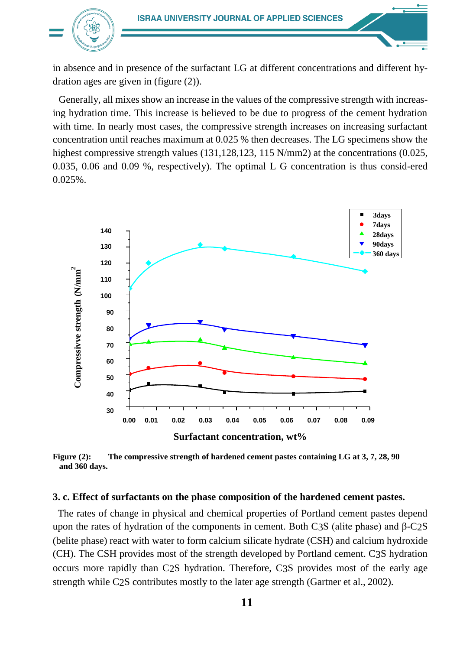

in absence and in presence of the surfactant LG at different concentrations and different hydration ages are given in (figure (2)).

Generally, all mixes show an increase in the values of the compressive strength with increasing hydration time. This increase is believed to be due to progress of the cement hydration with time. In nearly most cases, the compressive strength increases on increasing surfactant concentration until reaches maximum at 0.025 % then decreases. The LG specimens show the highest compressive strength values (131,128,123, 115 N/mm2) at the concentrations (0.025, 0.035, 0.06 and 0.09 %, respectively). The optimal L G concentration is thus consid-ered 0.025%.



**Figure (2): The compressive strength of hardened cement pastes containing LG at 3, 7, 28, 90 and 360 days.**

#### **3. c. Effect of surfactants on the phase composition of the hardened cement pastes.**

The rates of change in physical and chemical properties of Portland cement pastes depend upon the rates of hydration of the components in cement. Both C3S (alite phase) and β-C2S (belite phase) react with water to form calcium silicate hydrate (CSH) and calcium hydroxide (CH). The CSH provides most of the strength developed by Portland cement. C3S hydration occurs more rapidly than C2S hydration. Therefore, C3S provides most of the early age strength while C2S contributes mostly to the later age strength (Gartner et al., 2002).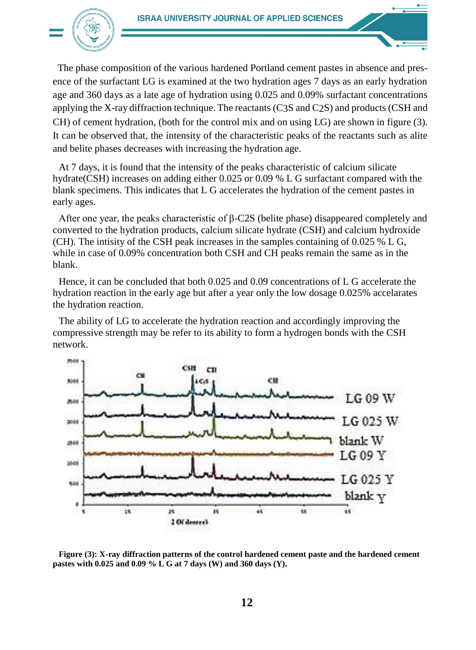

The phase composition of the various hardened Portland cement pastes in absence and presence of the surfactant LG is examined at the two hydration ages 7 days as an early hydration age and 360 days as a late age of hydration using 0.025 and 0.09% surfactant concentrations applying the X-ray diffraction technique. The reactants (C3S and C2S) and products (CSH and CH) of cement hydration, (both for the control mix and on using LG) are shown in figure (3). It can be observed that, the intensity of the characteristic peaks of the reactants such as alite and belite phases decreases with increasing the hydration age.

At 7 days, it is found that the intensity of the peaks characteristic of calcium silicate hydrate(CSH) increases on adding either 0.025 or 0.09 % L G surfactant compared with the blank specimens. This indicates that L G accelerates the hydration of the cement pastes in early ages.

After one year, the peaks characteristic of β-C2S (belite phase) disappeared completely and converted to the hydration products, calcium silicate hydrate (CSH) and calcium hydroxide (CH). The intisity of the CSH peak increases in the samples containing of 0.025 % L G, while in case of 0.09% concentration both CSH and CH peaks remain the same as in the blank.

Hence, it can be concluded that both 0.025 and 0.09 concentrations of L G accelerate the hydration reaction in the early age but after a year only the low dosage 0.025% accelarates the hydration reaction.

The ability of LG to accelerate the hydration reaction and accordingly improving the compressive strength may be refer to its ability to form a hydrogen bonds with the CSH network.



**Figure (3): X-ray diffraction patterns of the control hardened cement paste and the hardened cement pastes with 0.025 and 0.09 % L G at 7 days (W) and 360 days (Y).**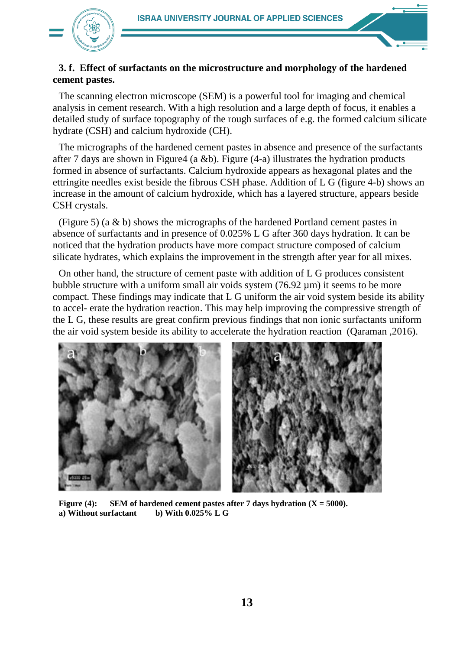

# **3. f. Effect of surfactants on the microstructure and morphology of the hardened cement pastes.**

The scanning electron microscope (SEM) is a powerful tool for imaging and chemical analysis in cement research. With a high resolution and a large depth of focus, it enables a detailed study of surface topography of the rough surfaces of e.g. the formed calcium silicate hydrate (CSH) and calcium hydroxide (CH).

The micrographs of the hardened cement pastes in absence and presence of the surfactants after 7 days are shown in Figure4 (a &b). Figure  $(4-a)$  illustrates the hydration products formed in absence of surfactants. Calcium hydroxide appears as hexagonal plates and the ettringite needles exist beside the fibrous CSH phase. Addition of L G (figure 4-b) shows an increase in the amount of calcium hydroxide, which has a layered structure, appears beside CSH crystals.

(Figure 5) (a & b) shows the micrographs of the hardened Portland cement pastes in absence of surfactants and in presence of 0.025% L G after 360 days hydration. It can be noticed that the hydration products have more compact structure composed of calcium silicate hydrates, which explains the improvement in the strength after year for all mixes.

On other hand, the structure of cement paste with addition of L G produces consistent bubble structure with a uniform small air voids system  $(76.92 \mu m)$  it seems to be more compact. These findings may indicate that L G uniform the air void system beside its ability to accel- erate the hydration reaction. This may help improving the compressive strength of the L G, these results are great confirm previous findings that non ionic surfactants uniform the air void system beside its ability to accelerate the hydration reaction (Qaraman ,2016).



**Figure (4):** SEM of hardened cement pastes after 7 days hydration  $(X = 5000)$ . **a) Without surfactant b) With 0.025% L G**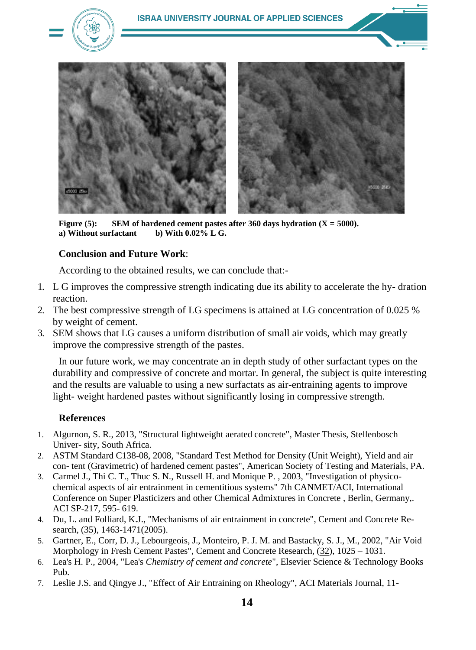

**Figure (5):** SEM of hardened cement pastes after 360 days hydration  $(X = 5000)$ . **a)** Without surfactant b) With  $0.02\%$  L G.

# **Conclusion and Future Work**:

According to the obtained results, we can conclude that:-

- 1. L G improves the compressive strength indicating due its ability to accelerate the hy- dration reaction.
- 2. The best compressive strength of LG specimens is attained at LG concentration of 0.025 % by weight of cement.
- 3. SEM shows that LG causes a uniform distribution of small air voids, which may greatly improve the compressive strength of the pastes.

In our future work, we may concentrate an in depth study of other surfactant types on the durability and compressive of concrete and mortar. In general, the subject is quite interesting and the results are valuable to using a new surfactats as air-entraining agents to improve light- weight hardened pastes without significantly losing in compressive strength.

# **References**

- 1. Algurnon, S. R., 2013, "Structural lightweight aerated concrete", Master Thesis, Stellenbosch Univer- sity, South Africa.
- 2. ASTM Standard C138-08, 2008, "Standard Test Method for Density (Unit Weight), Yield and air con- tent (Gravimetric) of hardened cement pastes", American Society of Testing and Materials, PA.
- 3. Carmel J., Thi C. T., Thuc S. N., Russell H. and Monique P. , 2003, "Investigation of physicochemical aspects of air entrainment in cementitious systems" 7th CANMET/ACI, International Conference on Super Plasticizers and other Chemical Admixtures in Concrete , Berlin, Germany,. ACI SP-217, 595- 619.
- 4. Du, L. and Folliard, K.J., "Mechanisms of air entrainment in concrete", Cement and Concrete Research, (35), 1463-1471(2005).
- 5. Gartner, E., Corr, D. J., Lebourgeois, J., Monteiro, P. J. M. and Bastacky, S. J., M., 2002, "Air Void Morphology in Fresh Cement Pastes", Cement and Concrete Research, (32), 1025 – 1031.
- 6. Lea's H. P., 2004, "Lea's *Chemistry of cement and concrete*", Elsevier Science & Technology Books Pub.
- 7. Leslie J.S. and Qingye J., "Effect of Air Entraining on Rheology", ACI Materials Journal, 11-